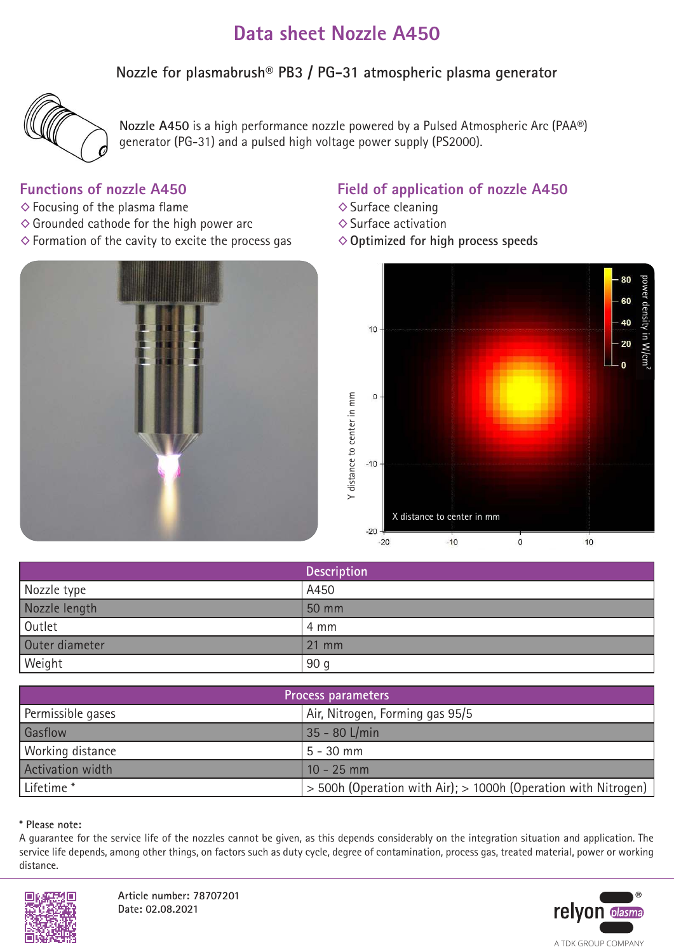# **Data sheet Nozzle A450**

**Nozzle for plasmabrush® PB3 / PG-31 atmospheric plasma generator**



**Nozzle A450** is a high performance nozzle powered by a Pulsed Atmospheric Arc (PAA®) generator (PG-31) and a pulsed high voltage power supply (PS2000).

### **Functions of nozzle A450**

- $\diamond$  Focusing of the plasma flame
- $\diamond$  Grounded cathode for the high power arc
- $\diamond$  Formation of the cavity to excite the process gas



### **Field of application of nozzle A450**

- $\diamond$  Surface cleaning
- ◊Surface activation
- ◊**Optimized for high process speeds**



|                | <b>Description</b> |
|----------------|--------------------|
| Nozzle type    | A450               |
| Nozzle length  | 50 mm              |
| Outlet         | 4 mm               |
| Outer diameter | $21 \, \text{mm}$  |
| Weight         | 90 <sub>g</sub>    |

| Process parameters      |                                                                    |
|-------------------------|--------------------------------------------------------------------|
| Permissible gases       | Air, Nitrogen, Forming gas 95/5                                    |
| Gasflow                 | 35 - 80 L/min                                                      |
| Working distance        | $5 - 30$ mm                                                        |
| <b>Activation width</b> | $10 - 25$ mm                                                       |
| Lifetime <sup>*</sup>   | $>$ 500h (Operation with Air); $>$ 1000h (Operation with Nitrogen) |

#### **\* Please note:**

A guarantee for the service life of the nozzles cannot be given, as this depends considerably on the integration situation and application. The service life depends, among other things, on factors such as duty cycle, degree of contamination, process gas, treated material, power or working distance.